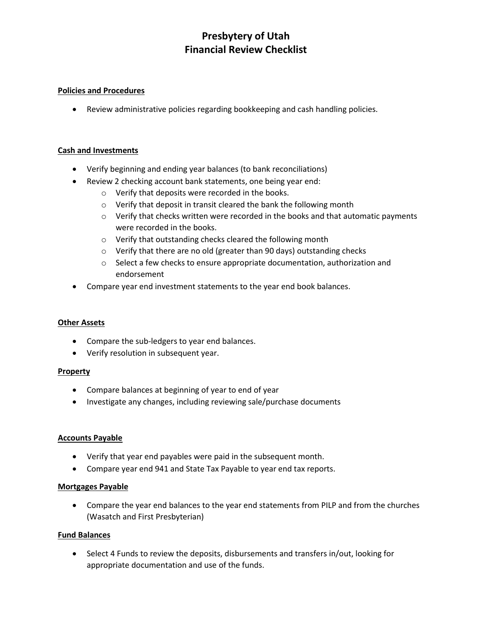# **Presbytery of Utah Financial Review Checklist**

### **Policies and Procedures**

• Review administrative policies regarding bookkeeping and cash handling policies.

### **Cash and Investments**

- Verify beginning and ending year balances (to bank reconciliations)
- Review 2 checking account bank statements, one being year end:
	- o Verify that deposits were recorded in the books.
	- o Verify that deposit in transit cleared the bank the following month
	- $\circ$  Verify that checks written were recorded in the books and that automatic payments were recorded in the books.
	- o Verify that outstanding checks cleared the following month
	- o Verify that there are no old (greater than 90 days) outstanding checks
	- o Select a few checks to ensure appropriate documentation, authorization and endorsement
- Compare year end investment statements to the year end book balances.

#### **Other Assets**

- Compare the sub-ledgers to year end balances.
- Verify resolution in subsequent year.

#### **Property**

- Compare balances at beginning of year to end of year
- Investigate any changes, including reviewing sale/purchase documents

#### **Accounts Payable**

- Verify that year end payables were paid in the subsequent month.
- Compare year end 941 and State Tax Payable to year end tax reports.

#### **Mortgages Payable**

• Compare the year end balances to the year end statements from PILP and from the churches (Wasatch and First Presbyterian)

#### **Fund Balances**

• Select 4 Funds to review the deposits, disbursements and transfers in/out, looking for appropriate documentation and use of the funds.